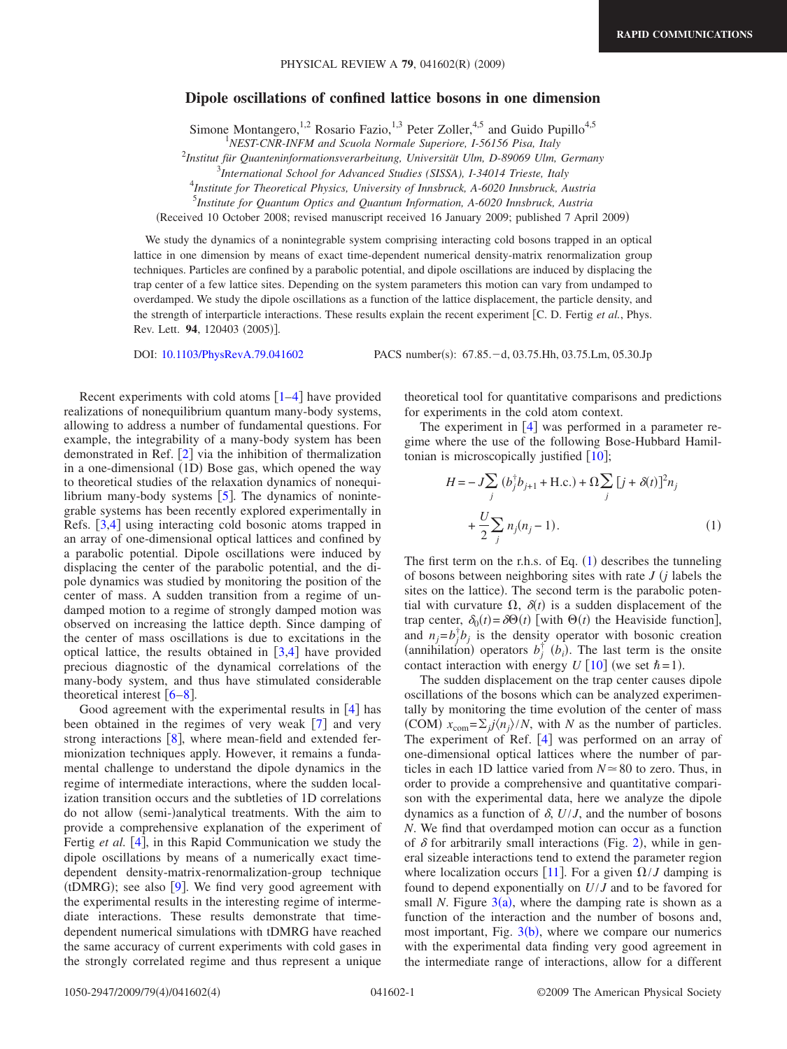## **Dipole oscillations of confined lattice bosons in one dimension**

Simone Montangero,<sup>1,2</sup> Rosario Fazio,<sup>1,3</sup> Peter Zoller,<sup>4,5</sup> and Guido Pupillo<sup>4,5</sup>

2 *Institut für Quanteninformationsverarbeitung, Universität Ulm, D-89069 Ulm, Germany*

3 *International School for Advanced Studies (SISSA), I-34014 Trieste, Italy*

4 *Institute for Theoretical Physics, University of Innsbruck, A-6020 Innsbruck, Austria*

5 *Institute for Quantum Optics and Quantum Information, A-6020 Innsbruck, Austria*

Received 10 October 2008; revised manuscript received 16 January 2009; published 7 April 2009-

We study the dynamics of a nonintegrable system comprising interacting cold bosons trapped in an optical lattice in one dimension by means of exact time-dependent numerical density-matrix renormalization group techniques. Particles are confined by a parabolic potential, and dipole oscillations are induced by displacing the trap center of a few lattice sites. Depending on the system parameters this motion can vary from undamped to overdamped. We study the dipole oscillations as a function of the lattice displacement, the particle density, and the strength of interparticle interactions. These results explain the recent experiment C. D. Fertig *et al.*, Phys. Rev. Lett. **94**, 120403 (2005)].

DOI: [10.1103/PhysRevA.79.041602](http://dx.doi.org/10.1103/PhysRevA.79.041602)

PACS number(s): 67.85. - d, 03.75. Hh, 03.75. Lm, 05.30. Jp

Recent experiments with cold atoms  $\lceil 1-4 \rceil$  $\lceil 1-4 \rceil$  $\lceil 1-4 \rceil$  have provided realizations of nonequilibrium quantum many-body systems, allowing to address a number of fundamental questions. For example, the integrability of a many-body system has been demonstrated in Ref.  $\lceil 2 \rceil$  $\lceil 2 \rceil$  $\lceil 2 \rceil$  via the inhibition of thermalization in a one-dimensional (1D) Bose gas, which opened the way to theoretical studies of the relaxation dynamics of nonequilibrium many-body systems  $[5]$  $[5]$  $[5]$ . The dynamics of nonintegrable systems has been recently explored experimentally in Refs. [[3,](#page-3-4)[4](#page-3-1)] using interacting cold bosonic atoms trapped in an array of one-dimensional optical lattices and confined by a parabolic potential. Dipole oscillations were induced by displacing the center of the parabolic potential, and the dipole dynamics was studied by monitoring the position of the center of mass. A sudden transition from a regime of undamped motion to a regime of strongly damped motion was observed on increasing the lattice depth. Since damping of the center of mass oscillations is due to excitations in the optical lattice, the results obtained in  $[3,4]$  $[3,4]$  $[3,4]$  $[3,4]$  have provided precious diagnostic of the dynamical correlations of the many-body system, and thus have stimulated considerable theoretical interest  $\lceil 6-8 \rceil$  $\lceil 6-8 \rceil$  $\lceil 6-8 \rceil$ .

Good agreement with the experimental results in  $\lceil 4 \rceil$  $\lceil 4 \rceil$  $\lceil 4 \rceil$  has been obtained in the regimes of very weak  $[7]$  $[7]$  $[7]$  and very strong interactions  $[8]$  $[8]$  $[8]$ , where mean-field and extended fermionization techniques apply. However, it remains a fundamental challenge to understand the dipole dynamics in the regime of intermediate interactions, where the sudden localization transition occurs and the subtleties of 1D correlations do not allow (semi-)analytical treatments. With the aim to provide a comprehensive explanation of the experiment of Fertig *et al.* [[4](#page-3-1)], in this Rapid Communication we study the dipole oscillations by means of a numerically exact timedependent density-matrix-renormalization-group technique (tDMRG); see also  $[9]$  $[9]$  $[9]$ . We find very good agreement with the experimental results in the interesting regime of intermediate interactions. These results demonstrate that timedependent numerical simulations with tDMRG have reached the same accuracy of current experiments with cold gases in the strongly correlated regime and thus represent a unique theoretical tool for quantitative comparisons and predictions for experiments in the cold atom context.

The experiment in  $[4]$  $[4]$  $[4]$  was performed in a parameter regime where the use of the following Bose-Hubbard Hamiltonian is microscopically justified  $\lceil 10 \rceil$  $\lceil 10 \rceil$  $\lceil 10 \rceil$ ;

<span id="page-0-0"></span>
$$
H = -J \sum_{j} (b_j^{\dagger} b_{j+1} + \text{H.c.}) + \Omega \sum_{j} [j + \delta(t)]^2 n_j + \frac{U}{2} \sum_{j} n_j (n_j - 1).
$$
 (1)

The first term on the r.h.s. of Eq.  $(1)$  $(1)$  $(1)$  describes the tunneling of bosons between neighboring sites with rate *J j* labels the sites on the lattice). The second term is the parabolic potential with curvature  $\Omega$ ,  $\delta(t)$  is a sudden displacement of the trap center,  $\delta_0(t) = \delta \Theta(t)$  [with  $\Theta(t)$  the Heaviside function], and  $n_j = b_j^{\dagger} b_j$  is the density operator with bosonic creation (annihilation) operators  $b_j^{\dagger}$  ( $b_i$ ). The last term is the onsite contact interaction with energy  $U$  [[10](#page-3-9)] (we set  $\hbar = 1$ ).

The sudden displacement on the trap center causes dipole oscillations of the bosons which can be analyzed experimentally by monitoring the time evolution of the center of mass (COM)  $x_{com} = \sum_j j \langle n_j \rangle / N$ , with *N* as the number of particles. The experiment of Ref. [[4](#page-3-1)] was performed on an array of one-dimensional optical lattices where the number of particles in each 1D lattice varied from  $N \approx 80$  to zero. Thus, in order to provide a comprehensive and quantitative comparison with the experimental data, here we analyze the dipole dynamics as a function of  $\delta$ ,  $U/J$ , and the number of bosons *N*. We find that overdamped motion can occur as a function of  $\delta$  for arbitrarily small interactions (Fig. [2](#page-1-0)), while in general sizeable interactions tend to extend the parameter region where localization occurs [[11](#page-3-10)]. For a given  $\Omega/J$  damping is found to depend exponentially on *U*/*J* and to be favored for small *N*. Figure  $3(a)$  $3(a)$ , where the damping rate is shown as a function of the interaction and the number of bosons and, most important, Fig.  $3(b)$  $3(b)$ , where we compare our numerics with the experimental data finding very good agreement in the intermediate range of interactions, allow for a different

<sup>1</sup> *NEST-CNR-INFM and Scuola Normale Superiore, I-56156 Pisa, Italy*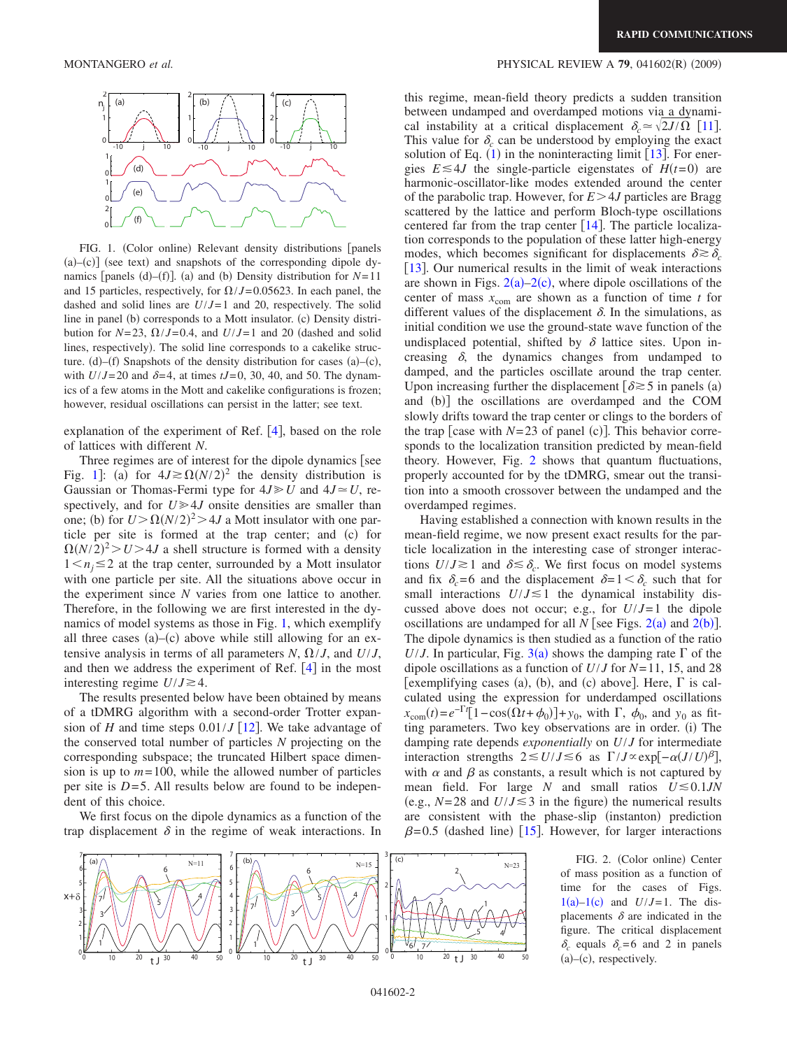<span id="page-1-1"></span>

FIG. 1. (Color online) Relevant density distributions [panels  $(a)$ - $(c)$ ] (see text) and snapshots of the corresponding dipole dynamics [panels (d)–(f)]. (a) and (b) Density distribution for  $N=11$ and 15 particles, respectively, for  $\Omega/J = 0.05623$ . In each panel, the dashed and solid lines are  $U/J=1$  and 20, respectively. The solid line in panel (b) corresponds to a Mott insulator. (c) Density distribution for  $N=23$ ,  $\Omega/J=0.4$ , and  $U/J=1$  and 20 (dashed and solid lines, respectively). The solid line corresponds to a cakelike structure. (d)–(f) Snapshots of the density distribution for cases  $(a)$ –(c), with  $U/J=20$  and  $\delta=4$ , at times  $tJ=0$ , 30, 40, and 50. The dynamics of a few atoms in the Mott and cakelike configurations is frozen; however, residual oscillations can persist in the latter; see text.

explanation of the experiment of Ref.  $[4]$  $[4]$  $[4]$ , based on the role of lattices with different *N*.

Three regimes are of interest for the dipole dynamics [see Fig. [1](#page-1-1)]: (a) for  $4J \ge \Omega(N/2)^2$  the density distribution is Gaussian or Thomas-Fermi type for  $4J \ge U$  and  $4J \approx U$ , respectively, and for  $U \ge 4J$  onsite densities are smaller than one; (b) for  $U > \Omega(N/2)^2 > 4J$  a Mott insulator with one particle per site is formed at the trap center; and (c) for  $\Omega(N/2)^2 > U > 4J$  a shell structure is formed with a density  $1 \le n_j \le 2$  at the trap center, surrounded by a Mott insulator with one particle per site. All the situations above occur in the experiment since *N* varies from one lattice to another. Therefore, in the following we are first interested in the dynamics of model systems as those in Fig. [1,](#page-1-1) which exemplify all three cases  $(a)$ - $(c)$  above while still allowing for an extensive analysis in terms of all parameters  $N$ ,  $\Omega / J$ , and  $U / J$ , and then we address the experiment of Ref.  $[4]$  $[4]$  $[4]$  in the most interesting regime  $U/J \ge 4$ .

The results presented below have been obtained by means of a tDMRG algorithm with a second-order Trotter expansion of *H* and time steps  $0.01/J$  [[12](#page-3-11)]. We take advantage of the conserved total number of particles *N* projecting on the corresponding subspace; the truncated Hilbert space dimension is up to  $m = 100$ , while the allowed number of particles per site is  $D=5$ . All results below are found to be independent of this choice.

We first focus on the dipole dynamics as a function of the trap displacement  $\delta$  in the regime of weak interactions. In

## MONTANGERO *et al.* PHYSICAL REVIEW A **79**, 041602R- 2009-

this regime, mean-field theory predicts a sudden transition between undamped and overdamped motions via a dynamical instability at a critical displacement  $\delta_c \approx \sqrt{2J/\Omega}$  [[11](#page-3-10)]. This value for  $\delta_c$  can be understood by employing the exact solution of Eq.  $(1)$  $(1)$  $(1)$  in the noninteracting limit [[13](#page-3-12)]. For energies  $E \le 4J$  the single-particle eigenstates of  $H(t=0)$  are harmonic-oscillator-like modes extended around the center of the parabolic trap. However, for  $E > 4J$  particles are Bragg scattered by the lattice and perform Bloch-type oscillations centered far from the trap center  $[14]$  $[14]$  $[14]$ . The particle localization corresponds to the population of these latter high-energy modes, which becomes significant for displacements  $\delta \geq \delta_c$  $[13]$  $[13]$  $[13]$ . Our numerical results in the limit of weak interactions are shown in Figs.  $2(a)-2(c)$  $2(a)-2(c)$ , where dipole oscillations of the center of mass  $x_{\text{com}}$  are shown as a function of time *t* for different values of the displacement  $\delta$ . In the simulations, as initial condition we use the ground-state wave function of the undisplaced potential, shifted by  $\delta$  lattice sites. Upon increasing  $\delta$ , the dynamics changes from undamped to damped, and the particles oscillate around the trap center. Upon increasing further the displacement  $\delta \gtrsim 5$  in panels (a) and (b)] the oscillations are overdamped and the COM slowly drifts toward the trap center or clings to the borders of the trap [case with  $N=23$  of panel (c)]. This behavior corresponds to the localization transition predicted by mean-field theory. However, Fig. [2](#page-1-0) shows that quantum fluctuations, properly accounted for by the tDMRG, smear out the transition into a smooth crossover between the undamped and the overdamped regimes.

Having established a connection with known results in the mean-field regime, we now present exact results for the particle localization in the interesting case of stronger interactions  $U/J \gtrsim 1$  and  $\delta \lesssim \delta_c$ . We first focus on model systems and fix  $\delta_c = 6$  and the displacement  $\delta = 1 \leq \delta_c$  such that for small interactions  $U/J \le 1$  the dynamical instability discussed above does not occur; e.g., for *U*/*J*= 1 the dipole oscillations are undamped for all  $N$  [see Figs. [2](#page-1-0)(a) and 2(b)]. The dipole dynamics is then studied as a function of the ratio *U*/*J*. In particular, Fig. [3](#page-2-0)(a) shows the damping rate  $\Gamma$  of the dipole oscillations as a function of *U*/*J* for *N*= 11, 15, and 28 [exemplifying cases (a), (b), and (c) above]. Here,  $\Gamma$  is calculated using the expression for underdamped oscillations  $x_{\text{com}}(t) = e^{-\Gamma t} [1 - \cos(\Omega t + \phi_0)] + y_0$ , with  $\Gamma$ ,  $\phi_0$ , and  $y_0$  as fitting parameters. Two key observations are in order. (i) The damping rate depends *exponentially* on *U*/*J* for intermediate interaction strengths  $2 \le U/J \le 6$  as  $\Gamma/J \propto \exp[-\alpha (J/U)^{\beta}],$ with  $\alpha$  and  $\beta$  as constants, a result which is not captured by mean field. For large *N* and small ratios  $U \le 0.1$ *JN* (e.g.,  $N=28$  and  $U/J \le 3$  in the figure) the numerical results are consistent with the phase-slip (instanton) prediction  $\beta$ =0.5 (dashed line) [[15](#page-3-14)]. However, for larger interactions

<span id="page-1-0"></span>

of mass position as a function of time for the cases of Figs.  $1(a)-1(c)$  $1(a)-1(c)$  and  $U/J=1$ . The displacements  $\delta$  are indicated in the figure. The critical displacement  $\delta_c$  equals  $\delta_c = 6$  and 2 in panels  $(a)$ - $(c)$ , respectively.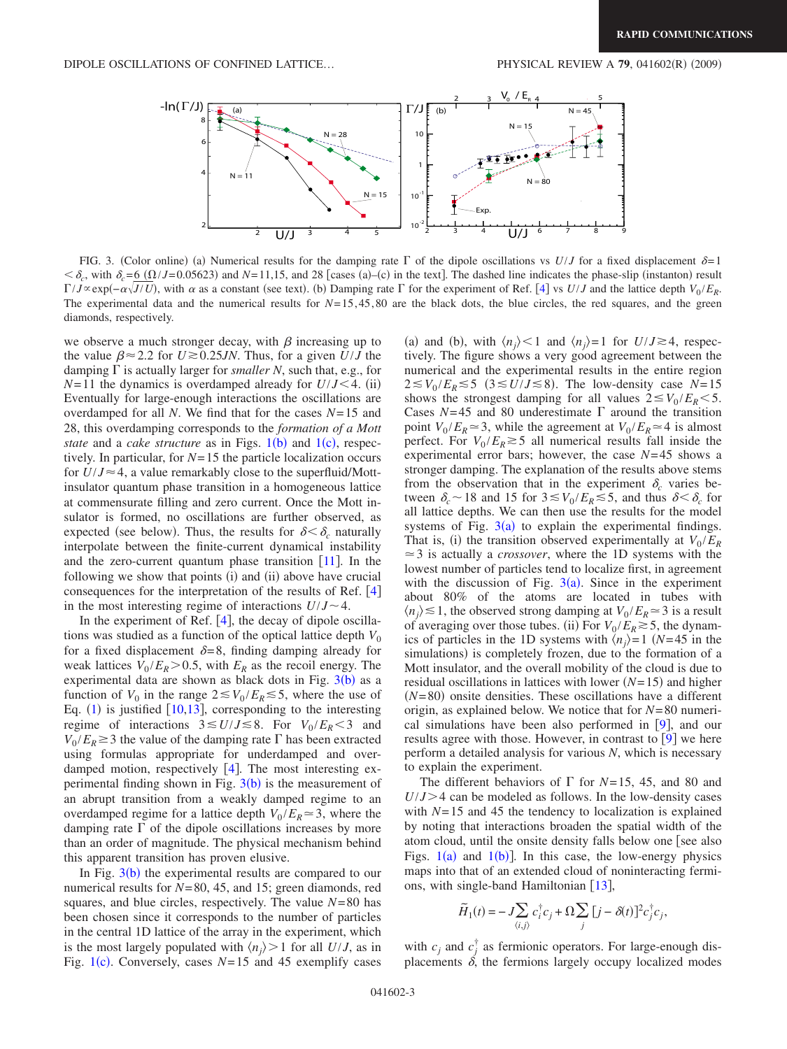<span id="page-2-0"></span>

FIG. 3. (Color online) (a) Numerical results for the damping rate  $\Gamma$  of the dipole oscillations vs  $U/J$  for a fixed displacement  $\delta=1$  $\langle \delta_c,$  with  $\delta_c = 6$  ( $\Omega / J = 0.05623$ ) and *N*=11,15, and 28 [cases (a)–(c) in the text]. The dashed line indicates the phase-slip (instanton) result  $\Gamma/J \propto \exp(-\alpha \sqrt{J/U})$ , with  $\alpha$  as a constant (see text). (b) Damping rate  $\Gamma$  for the experiment of Ref. [[4](#page-3-1)] vs  $U/J$  and the lattice depth  $V_0/E_R$ . The experimental data and the numerical results for *N*= 15, 45, 80 are the black dots, the blue circles, the red squares, and the green diamonds, respectively.

we observe a much stronger decay, with  $\beta$  increasing up to the value  $\beta \approx 2.2$  for  $U \approx 0.25$ *JN*. Thus, for a given  $U/J$  the damping  $\Gamma$  is actually larger for *smaller N*, such that, e.g., for  $N=11$  the dynamics is overdamped already for  $U/J < 4$ . (ii) Eventually for large-enough interactions the oscillations are overdamped for all *N*. We find that for the cases *N*= 15 and 28, this overdamping corresponds to the *formation of a Mott state* and a *cake structure* as in Figs.  $1(b)$  $1(b)$  and  $1(c)$ , respectively. In particular, for *N*= 15 the particle localization occurs for  $U/J \approx 4$ , a value remarkably close to the superfluid/Mottinsulator quantum phase transition in a homogeneous lattice at commensurate filling and zero current. Once the Mott insulator is formed, no oscillations are further observed, as expected (see below). Thus, the results for  $\delta < \delta_c$  naturally interpolate between the finite-current dynamical instability and the zero-current quantum phase transition  $[11]$  $[11]$  $[11]$ . In the following we show that points (i) and (ii) above have crucial consequences for the interpretation of the results of Ref.  $[4]$  $[4]$  $[4]$ in the most interesting regime of interactions  $U/J \sim 4$ .

In the experiment of Ref.  $[4]$  $[4]$  $[4]$ , the decay of dipole oscillations was studied as a function of the optical lattice depth  $V_0$ for a fixed displacement  $\delta = 8$ , finding damping already for weak lattices  $V_0 / E_R > 0.5$ , with  $E_R$  as the recoil energy. The experimental data are shown as black dots in Fig.  $3(b)$  $3(b)$  as a function of  $V_0$  in the range  $2 \le V_0 / E_R \le 5$ , where the use of Eq.  $(1)$  $(1)$  $(1)$  is justified  $[10,13]$  $[10,13]$  $[10,13]$  $[10,13]$ , corresponding to the interesting regime of interactions  $3 \le U/J \le 8$ . For  $V_0/E_R < 3$  and  $V_0 / E_R \geq 3$  the value of the damping rate  $\Gamma$  has been extracted using formulas appropriate for underdamped and overdamped motion, respectively  $[4]$  $[4]$  $[4]$ . The most interesting experimental finding shown in Fig.  $3(b)$  $3(b)$  is the measurement of an abrupt transition from a weakly damped regime to an overdamped regime for a lattice depth  $V_0 / E_R \approx 3$ , where the damping rate  $\Gamma$  of the dipole oscillations increases by more than an order of magnitude. The physical mechanism behind this apparent transition has proven elusive.

In Fig.  $3(b)$  $3(b)$  the experimental results are compared to our numerical results for *N*= 80, 45, and 15; green diamonds, red squares, and blue circles, respectively. The value *N*= 80 has been chosen since it corresponds to the number of particles in the central 1D lattice of the array in the experiment, which is the most largely populated with  $\langle n_i \rangle > 1$  for all *U/J*, as in Fig. [1](#page-1-1)(c). Conversely, cases  $N=15$  and 45 exemplify cases

(a) and (b), with  $\langle n_j \rangle \le 1$  and  $\langle n_j \rangle = 1$  for  $U/J \ge 4$ , respectively. The figure shows a very good agreement between the numerical and the experimental results in the entire region  $2 \le V_0 / E_R \le 5$  ( $3 \le U / J \le 8$ ). The low-density case  $N=15$ shows the strongest damping for all values  $2 \leq V_0 / E_R < 5$ . Cases  $N=45$  and 80 underestimate  $\Gamma$  around the transition point  $V_0 / E_R \approx 3$ , while the agreement at  $V_0 / E_R \approx 4$  is almost perfect. For  $V_0/E_R \gtrsim 5$  all numerical results fall inside the experimental error bars; however, the case *N*= 45 shows a stronger damping. The explanation of the results above stems from the observation that in the experiment  $\delta_c$  varies between  $\delta_c \sim 18$  and 15 for  $3 \lesssim V_0 / E_R \lesssim 5$ , and thus  $\delta < \delta_c$  for all lattice depths. We can then use the results for the model systems of Fig.  $3(a)$  $3(a)$  to explain the experimental findings. That is, (i) the transition observed experimentally at  $V_0 / E_R$  $\approx$  3 is actually a *crossover*, where the 1D systems with the lowest number of particles tend to localize first, in agreement with the discussion of Fig.  $3(a)$  $3(a)$ . Since in the experiment about 80% of the atoms are located in tubes with  $\langle n_i \rangle \leq 1$ , the observed strong damping at  $V_0 / E_R \approx 3$  is a result of averaging over those tubes. (ii) For  $V_0 / E_R \gtrsim 5$ , the dynamics of particles in the 1D systems with  $\langle n_i \rangle = 1$  (*N*=45 in the simulations) is completely frozen, due to the formation of a Mott insulator, and the overall mobility of the cloud is due to residual oscillations in lattices with lower  $(N=15)$  and higher  $(N=80)$  onsite densities. These oscillations have a different origin, as explained below. We notice that for *N*= 80 numerical simulations have been also performed in  $[9]$  $[9]$  $[9]$ , and our results agree with those. However, in contrast to  $[9]$  $[9]$  $[9]$  we here perform a detailed analysis for various *N*, which is necessary to explain the experiment.

The different behaviors of  $\Gamma$  for *N*=15, 45, and 80 and  $U/J > 4$  can be modeled as follows. In the low-density cases with  $N=15$  and 45 the tendency to localization is explained by noting that interactions broaden the spatial width of the atom cloud, until the onsite density falls below one see also Figs.  $1(a)$  $1(a)$  and  $1(b)$ ]. In this case, the low-energy physics maps into that of an extended cloud of noninteracting fermions, with single-band Hamiltonian  $[13]$  $[13]$  $[13]$ ,

$$
\widetilde{H}_1(t) = -J\sum_{\langle i,j\rangle} c_i^{\dagger} c_j + \Omega \sum_j [j - \delta(t)]^2 c_j^{\dagger} c_j,
$$

with  $c_j$  and  $c_j^{\dagger}$  as fermionic operators. For large-enough displacements  $\delta$ , the fermions largely occupy localized modes